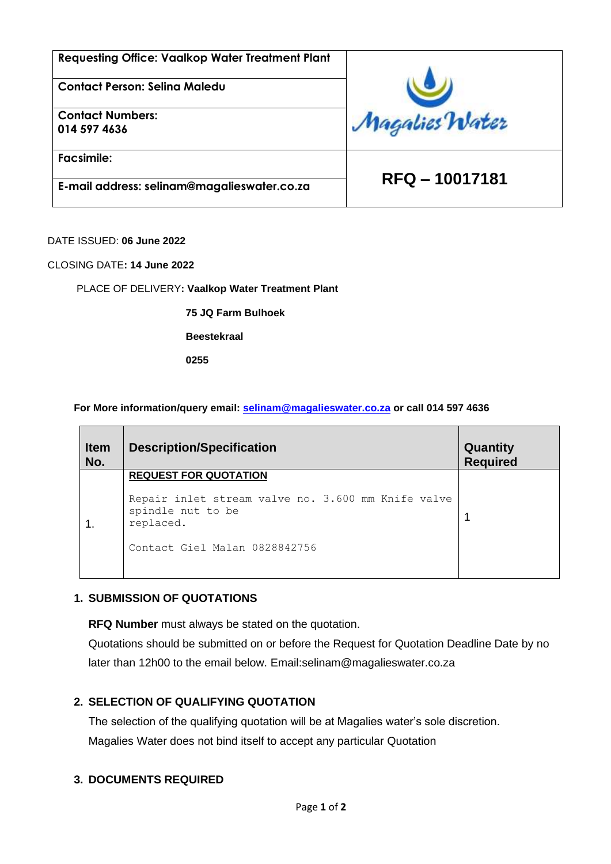| <b>Requesting Office: Vaalkop Water Treatment Plant</b> |                |  |
|---------------------------------------------------------|----------------|--|
| <b>Contact Person: Seling Maledu</b>                    |                |  |
| <b>Contact Numbers:</b><br>014 597 4636                 | Magalies Water |  |
| <b>Facsimile:</b>                                       | RFQ - 10017181 |  |
| E-mail address: selinam@magalieswater.co.za             |                |  |

DATE ISSUED: **06 June 2022**

CLOSING DATE**: 14 June 2022**

PLACE OF DELIVERY**: Vaalkop Water Treatment Plant** 

**75 JQ Farm Bulhoek** 

**Beestekraal** 

**0255**

#### **For More information/query email: [selinam@magalieswater.co.za](mailto:selinam@magalieswater.co.za) or call 014 597 4636**

| <b>Item</b><br>No. | <b>Description/Specification</b>                                                     | Quantity<br><b>Required</b> |
|--------------------|--------------------------------------------------------------------------------------|-----------------------------|
|                    | <b>REQUEST FOR QUOTATION</b>                                                         |                             |
|                    | Repair inlet stream valve no. 3.600 mm Knife valve<br>spindle nut to be<br>replaced. |                             |
|                    | Contact Giel Malan 0828842756                                                        |                             |

### **1. SUBMISSION OF QUOTATIONS**

**RFQ Number** must always be stated on the quotation.

Quotations should be submitted on or before the Request for Quotation Deadline Date by no later than 12h00 to the email below. Email:selinam@magalieswater.co.za

### **2. SELECTION OF QUALIFYING QUOTATION**

The selection of the qualifying quotation will be at Magalies water's sole discretion. Magalies Water does not bind itself to accept any particular Quotation

#### **3. DOCUMENTS REQUIRED**